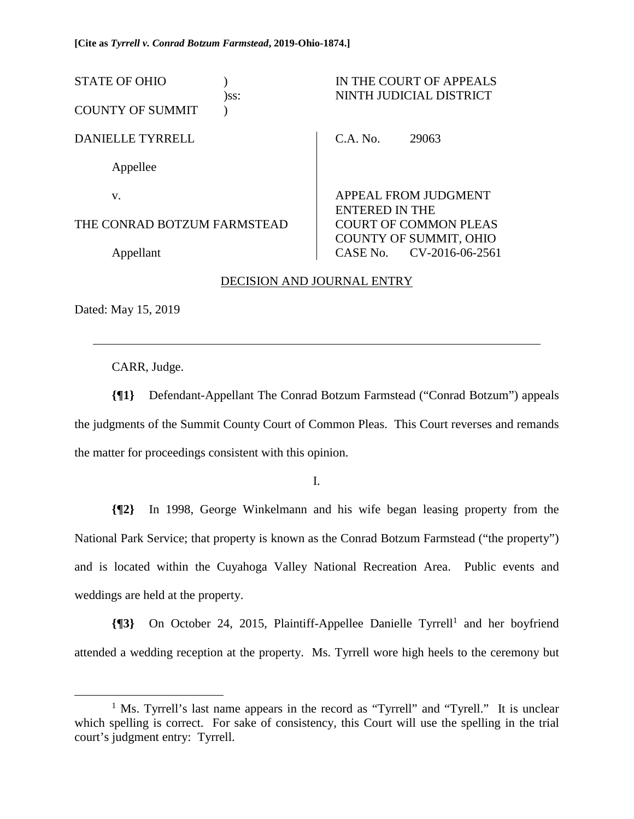| <b>STATE OF OHIO</b>        | )ss: |                                                                                                  | IN THE COURT OF APPEALS<br>NINTH JUDICIAL DISTRICT |
|-----------------------------|------|--------------------------------------------------------------------------------------------------|----------------------------------------------------|
| <b>COUNTY OF SUMMIT</b>     |      |                                                                                                  |                                                    |
| <b>DANIELLE TYRRELL</b>     |      | $CA$ No.                                                                                         | 29063                                              |
| Appellee                    |      |                                                                                                  |                                                    |
| V.                          |      | APPEAL FROM JUDGMENT<br>ENTERED IN THE<br><b>COURT OF COMMON PLEAS</b><br>COUNTY OF SUMMIT, OHIO |                                                    |
| THE CONRAD BOTZUM FARMSTEAD |      |                                                                                                  |                                                    |
| Appellant                   |      | CASE No.                                                                                         | CV-2016-06-2561                                    |

## DECISION AND JOURNAL ENTRY

Dated: May 15, 2019

 $\overline{a}$ 

CARR, Judge.

**{¶1}** Defendant-Appellant The Conrad Botzum Farmstead ("Conrad Botzum") appeals the judgments of the Summit County Court of Common Pleas. This Court reverses and remands the matter for proceedings consistent with this opinion.

I.

**{¶2}** In 1998, George Winkelmann and his wife began leasing property from the National Park Service; that property is known as the Conrad Botzum Farmstead ("the property") and is located within the Cuyahoga Valley National Recreation Area. Public events and weddings are held at the property.

**{**[3} On October 24, 2015, Plaintiff-Appellee Danielle Tyrrell<sup>1</sup> and her boyfriend attended a wedding reception at the property. Ms. Tyrrell wore high heels to the ceremony but

 $\frac{1}{1}$ <sup>1</sup> Ms. Tyrrell's last name appears in the record as "Tyrrell" and "Tyrell." It is unclear which spelling is correct. For sake of consistency, this Court will use the spelling in the trial court's judgment entry: Tyrrell.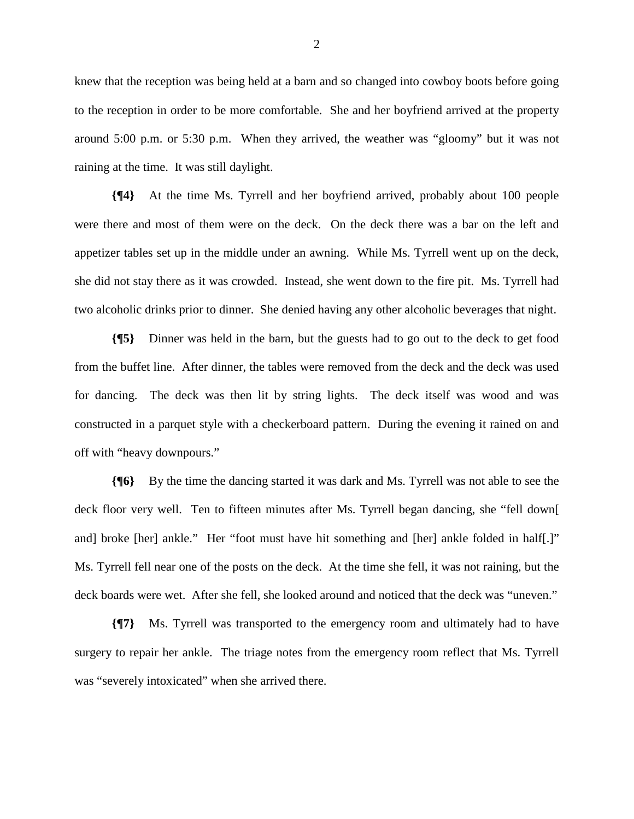knew that the reception was being held at a barn and so changed into cowboy boots before going to the reception in order to be more comfortable. She and her boyfriend arrived at the property around 5:00 p.m. or 5:30 p.m. When they arrived, the weather was "gloomy" but it was not raining at the time. It was still daylight.

**{¶4}** At the time Ms. Tyrrell and her boyfriend arrived, probably about 100 people were there and most of them were on the deck. On the deck there was a bar on the left and appetizer tables set up in the middle under an awning. While Ms. Tyrrell went up on the deck, she did not stay there as it was crowded. Instead, she went down to the fire pit. Ms. Tyrrell had two alcoholic drinks prior to dinner. She denied having any other alcoholic beverages that night.

**{¶5}** Dinner was held in the barn, but the guests had to go out to the deck to get food from the buffet line. After dinner, the tables were removed from the deck and the deck was used for dancing. The deck was then lit by string lights. The deck itself was wood and was constructed in a parquet style with a checkerboard pattern. During the evening it rained on and off with "heavy downpours."

**{¶6}** By the time the dancing started it was dark and Ms. Tyrrell was not able to see the deck floor very well. Ten to fifteen minutes after Ms. Tyrrell began dancing, she "fell down[ and] broke [her] ankle." Her "foot must have hit something and [her] ankle folded in half[.]" Ms. Tyrrell fell near one of the posts on the deck. At the time she fell, it was not raining, but the deck boards were wet. After she fell, she looked around and noticed that the deck was "uneven."

**{¶7}** Ms. Tyrrell was transported to the emergency room and ultimately had to have surgery to repair her ankle. The triage notes from the emergency room reflect that Ms. Tyrrell was "severely intoxicated" when she arrived there.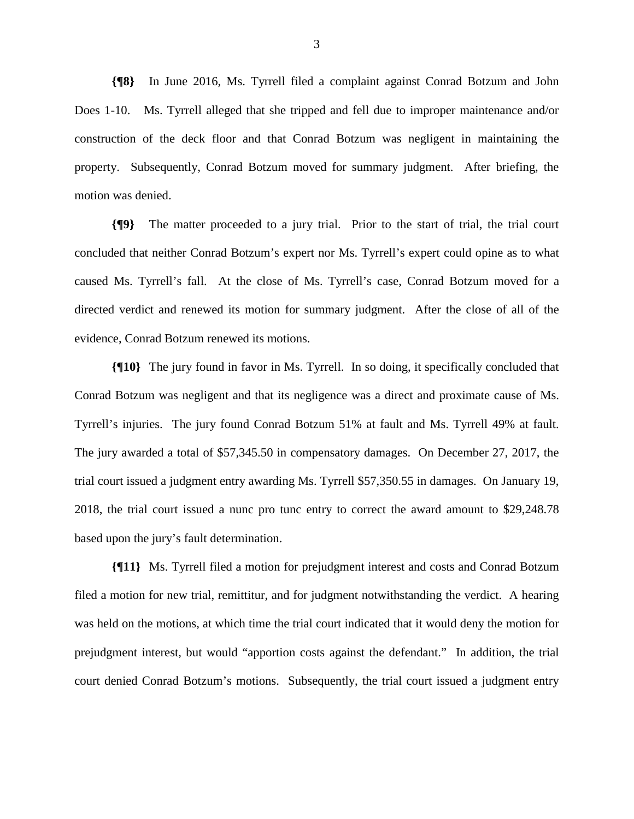**{¶8}** In June 2016, Ms. Tyrrell filed a complaint against Conrad Botzum and John Does 1-10. Ms. Tyrrell alleged that she tripped and fell due to improper maintenance and/or construction of the deck floor and that Conrad Botzum was negligent in maintaining the property. Subsequently, Conrad Botzum moved for summary judgment. After briefing, the motion was denied.

**{¶9}** The matter proceeded to a jury trial. Prior to the start of trial, the trial court concluded that neither Conrad Botzum's expert nor Ms. Tyrrell's expert could opine as to what caused Ms. Tyrrell's fall. At the close of Ms. Tyrrell's case, Conrad Botzum moved for a directed verdict and renewed its motion for summary judgment. After the close of all of the evidence, Conrad Botzum renewed its motions.

**{¶10}** The jury found in favor in Ms. Tyrrell. In so doing, it specifically concluded that Conrad Botzum was negligent and that its negligence was a direct and proximate cause of Ms. Tyrrell's injuries. The jury found Conrad Botzum 51% at fault and Ms. Tyrrell 49% at fault. The jury awarded a total of \$57,345.50 in compensatory damages. On December 27, 2017, the trial court issued a judgment entry awarding Ms. Tyrrell \$57,350.55 in damages. On January 19, 2018, the trial court issued a nunc pro tunc entry to correct the award amount to \$29,248.78 based upon the jury's fault determination.

**{¶11}** Ms. Tyrrell filed a motion for prejudgment interest and costs and Conrad Botzum filed a motion for new trial, remittitur, and for judgment notwithstanding the verdict. A hearing was held on the motions, at which time the trial court indicated that it would deny the motion for prejudgment interest, but would "apportion costs against the defendant." In addition, the trial court denied Conrad Botzum's motions. Subsequently, the trial court issued a judgment entry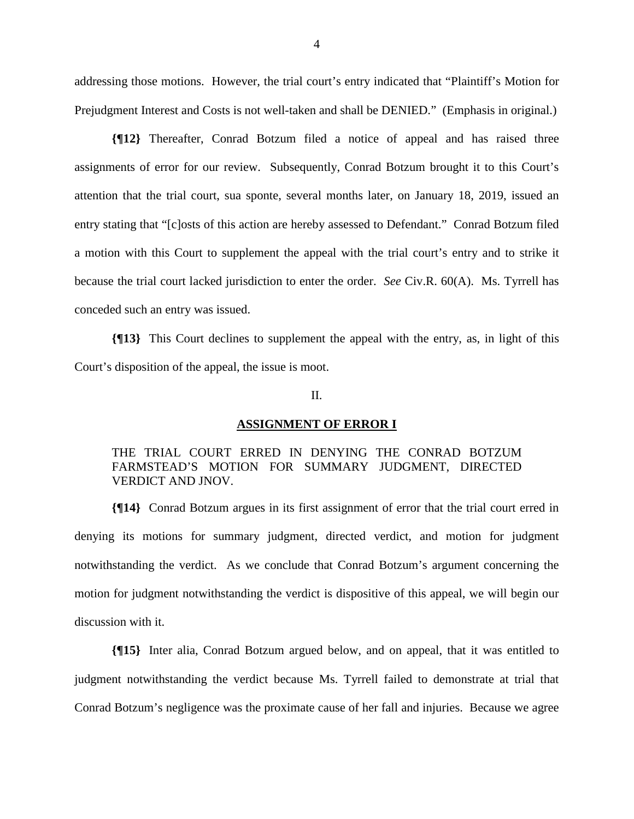addressing those motions. However, the trial court's entry indicated that "Plaintiff's Motion for Prejudgment Interest and Costs is not well-taken and shall be DENIED." (Emphasis in original.)

**{¶12}** Thereafter, Conrad Botzum filed a notice of appeal and has raised three assignments of error for our review. Subsequently, Conrad Botzum brought it to this Court's attention that the trial court, sua sponte, several months later, on January 18, 2019, issued an entry stating that "[c]osts of this action are hereby assessed to Defendant." Conrad Botzum filed a motion with this Court to supplement the appeal with the trial court's entry and to strike it because the trial court lacked jurisdiction to enter the order. *See* Civ.R. 60(A). Ms. Tyrrell has conceded such an entry was issued.

**{¶13}** This Court declines to supplement the appeal with the entry, as, in light of this Court's disposition of the appeal, the issue is moot.

## II.

### **ASSIGNMENT OF ERROR I**

# THE TRIAL COURT ERRED IN DENYING THE CONRAD BOTZUM FARMSTEAD'S MOTION FOR SUMMARY JUDGMENT, DIRECTED VERDICT AND JNOV.

**{¶14}** Conrad Botzum argues in its first assignment of error that the trial court erred in denying its motions for summary judgment, directed verdict, and motion for judgment notwithstanding the verdict. As we conclude that Conrad Botzum's argument concerning the motion for judgment notwithstanding the verdict is dispositive of this appeal, we will begin our discussion with it.

**{¶15}** Inter alia, Conrad Botzum argued below, and on appeal, that it was entitled to judgment notwithstanding the verdict because Ms. Tyrrell failed to demonstrate at trial that Conrad Botzum's negligence was the proximate cause of her fall and injuries. Because we agree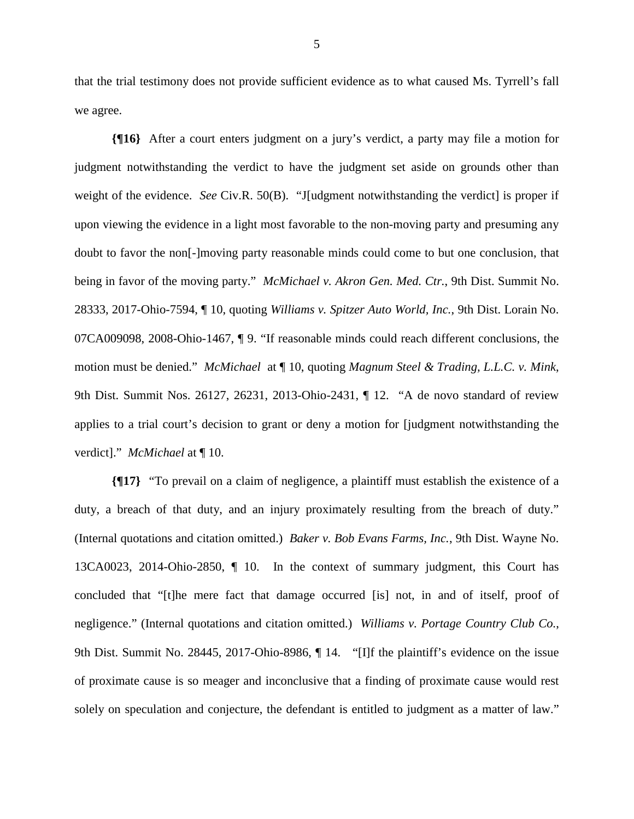that the trial testimony does not provide sufficient evidence as to what caused Ms. Tyrrell's fall we agree.

**{¶16}** After a court enters judgment on a jury's verdict, a party may file a motion for judgment notwithstanding the verdict to have the judgment set aside on grounds other than weight of the evidence. *See* Civ.R. 50(B). "J[udgment notwithstanding the verdict] is proper if upon viewing the evidence in a light most favorable to the non-moving party and presuming any doubt to favor the non[-]moving party reasonable minds could come to but one conclusion, that being in favor of the moving party." *McMichael v. Akron Gen. Med. Ctr.*, 9th Dist. Summit No. 28333, 2017-Ohio-7594, ¶ 10, quoting *Williams v. Spitzer Auto World, Inc.*, 9th Dist. Lorain No. 07CA009098, 2008-Ohio-1467, ¶ 9. "If reasonable minds could reach different conclusions, the motion must be denied." *McMichael* at ¶ 10, quoting *Magnum Steel & Trading, L.L.C. v. Mink*, 9th Dist. Summit Nos. 26127, 26231, 2013-Ohio-2431, ¶ 12. "A de novo standard of review applies to a trial court's decision to grant or deny a motion for [judgment notwithstanding the verdict]." *McMichael* at ¶ 10.

**{¶17}** "To prevail on a claim of negligence, a plaintiff must establish the existence of a duty, a breach of that duty, and an injury proximately resulting from the breach of duty." (Internal quotations and citation omitted.) *Baker v. Bob Evans Farms, Inc.*, 9th Dist. Wayne No. 13CA0023, 2014-Ohio-2850, ¶ 10. In the context of summary judgment, this Court has concluded that "[t]he mere fact that damage occurred [is] not, in and of itself, proof of negligence." (Internal quotations and citation omitted.) *Williams v. Portage Country Club Co.*, 9th Dist. Summit No. 28445, 2017-Ohio-8986, ¶ 14. "[I]f the plaintiff's evidence on the issue of proximate cause is so meager and inconclusive that a finding of proximate cause would rest solely on speculation and conjecture, the defendant is entitled to judgment as a matter of law."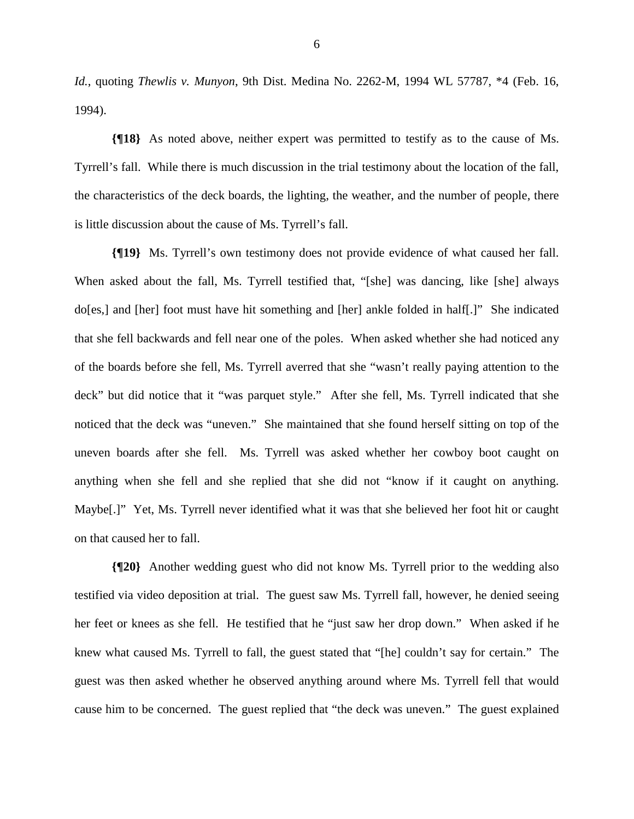*Id.*, quoting *Thewlis v. Munyon*, 9th Dist. Medina No. 2262-M, 1994 WL 57787, \*4 (Feb. 16, 1994).

**{¶18}** As noted above, neither expert was permitted to testify as to the cause of Ms. Tyrrell's fall. While there is much discussion in the trial testimony about the location of the fall, the characteristics of the deck boards, the lighting, the weather, and the number of people, there is little discussion about the cause of Ms. Tyrrell's fall.

**{¶19}** Ms. Tyrrell's own testimony does not provide evidence of what caused her fall. When asked about the fall, Ms. Tyrrell testified that, "[she] was dancing, like [she] always do[es,] and [her] foot must have hit something and [her] ankle folded in half[.]" She indicated that she fell backwards and fell near one of the poles. When asked whether she had noticed any of the boards before she fell, Ms. Tyrrell averred that she "wasn't really paying attention to the deck" but did notice that it "was parquet style." After she fell, Ms. Tyrrell indicated that she noticed that the deck was "uneven." She maintained that she found herself sitting on top of the uneven boards after she fell. Ms. Tyrrell was asked whether her cowboy boot caught on anything when she fell and she replied that she did not "know if it caught on anything. Maybe[.]" Yet, Ms. Tyrrell never identified what it was that she believed her foot hit or caught on that caused her to fall.

**{¶20}** Another wedding guest who did not know Ms. Tyrrell prior to the wedding also testified via video deposition at trial. The guest saw Ms. Tyrrell fall, however, he denied seeing her feet or knees as she fell. He testified that he "just saw her drop down." When asked if he knew what caused Ms. Tyrrell to fall, the guest stated that "[he] couldn't say for certain." The guest was then asked whether he observed anything around where Ms. Tyrrell fell that would cause him to be concerned. The guest replied that "the deck was uneven." The guest explained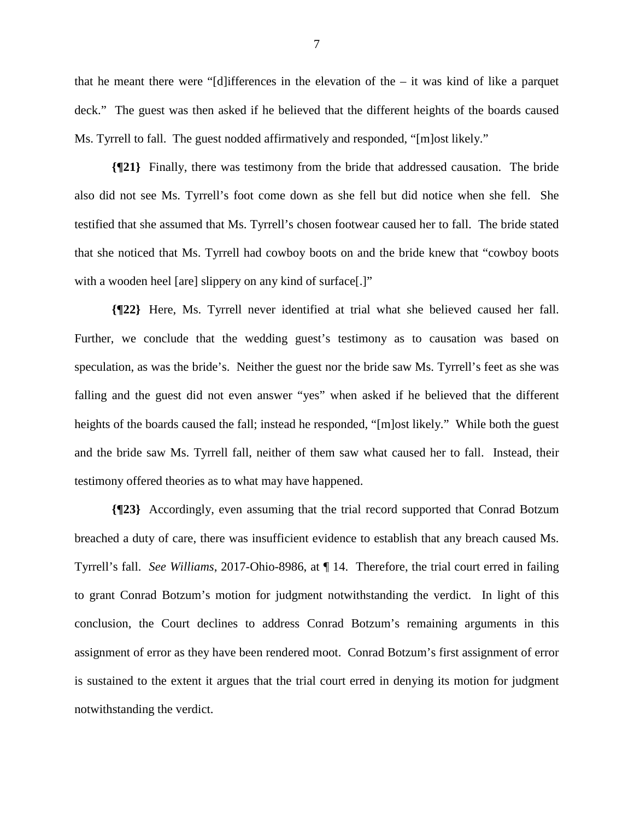that he meant there were "[d] ifferences in the elevation of the  $-$  it was kind of like a parquet deck." The guest was then asked if he believed that the different heights of the boards caused Ms. Tyrrell to fall. The guest nodded affirmatively and responded, "[m]ost likely."

**{¶21}** Finally, there was testimony from the bride that addressed causation. The bride also did not see Ms. Tyrrell's foot come down as she fell but did notice when she fell. She testified that she assumed that Ms. Tyrrell's chosen footwear caused her to fall. The bride stated that she noticed that Ms. Tyrrell had cowboy boots on and the bride knew that "cowboy boots with a wooden heel [are] slippery on any kind of surface[.]"

**{¶22}** Here, Ms. Tyrrell never identified at trial what she believed caused her fall. Further, we conclude that the wedding guest's testimony as to causation was based on speculation, as was the bride's. Neither the guest nor the bride saw Ms. Tyrrell's feet as she was falling and the guest did not even answer "yes" when asked if he believed that the different heights of the boards caused the fall; instead he responded, "[m]ost likely." While both the guest and the bride saw Ms. Tyrrell fall, neither of them saw what caused her to fall. Instead, their testimony offered theories as to what may have happened.

**{¶23}** Accordingly, even assuming that the trial record supported that Conrad Botzum breached a duty of care, there was insufficient evidence to establish that any breach caused Ms. Tyrrell's fall. *See Williams*, 2017-Ohio-8986, at ¶ 14. Therefore, the trial court erred in failing to grant Conrad Botzum's motion for judgment notwithstanding the verdict. In light of this conclusion, the Court declines to address Conrad Botzum's remaining arguments in this assignment of error as they have been rendered moot. Conrad Botzum's first assignment of error is sustained to the extent it argues that the trial court erred in denying its motion for judgment notwithstanding the verdict.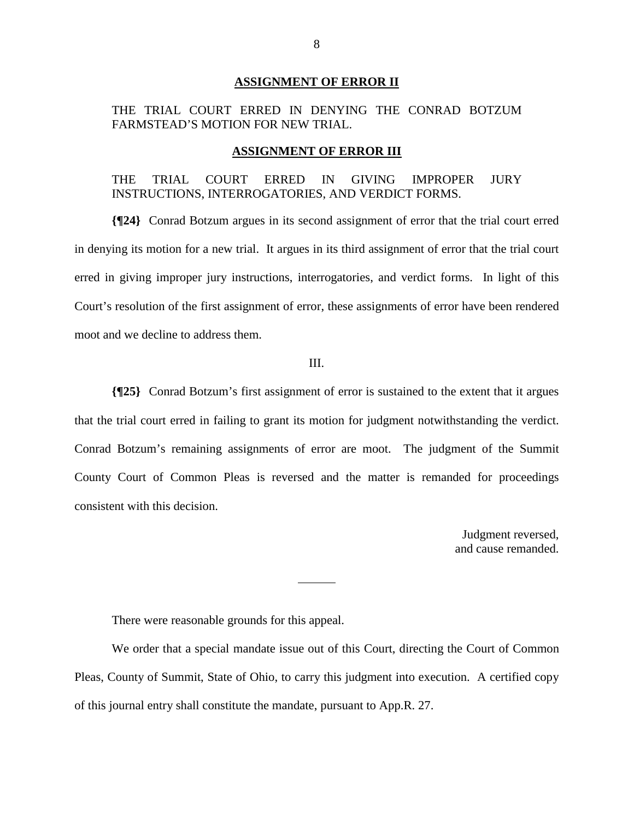#### **ASSIGNMENT OF ERROR II**

# THE TRIAL COURT ERRED IN DENYING THE CONRAD BOTZUM FARMSTEAD'S MOTION FOR NEW TRIAL.

#### **ASSIGNMENT OF ERROR III**

## THE TRIAL COURT ERRED IN GIVING IMPROPER JURY INSTRUCTIONS, INTERROGATORIES, AND VERDICT FORMS.

**{¶24}** Conrad Botzum argues in its second assignment of error that the trial court erred in denying its motion for a new trial. It argues in its third assignment of error that the trial court erred in giving improper jury instructions, interrogatories, and verdict forms. In light of this Court's resolution of the first assignment of error, these assignments of error have been rendered moot and we decline to address them.

### III.

**{¶25}** Conrad Botzum's first assignment of error is sustained to the extent that it argues that the trial court erred in failing to grant its motion for judgment notwithstanding the verdict. Conrad Botzum's remaining assignments of error are moot. The judgment of the Summit County Court of Common Pleas is reversed and the matter is remanded for proceedings consistent with this decision.

> Judgment reversed, and cause remanded.

There were reasonable grounds for this appeal.

 We order that a special mandate issue out of this Court, directing the Court of Common Pleas, County of Summit, State of Ohio, to carry this judgment into execution. A certified copy of this journal entry shall constitute the mandate, pursuant to App.R. 27.

 $\overline{a}$